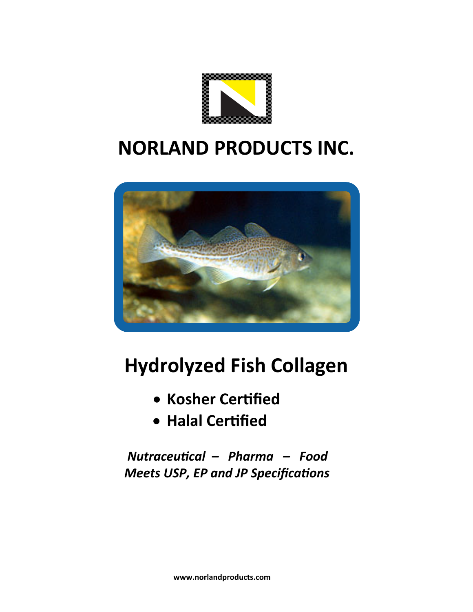

# **NORLAND PRODUCTS INC.**



# **Hydrolyzed Fish Collagen**

- **Kosher Certified**
- **Halal Certified**

 *Nutraceutical – Pharma – Food Meets USP, EP and JP Specifications*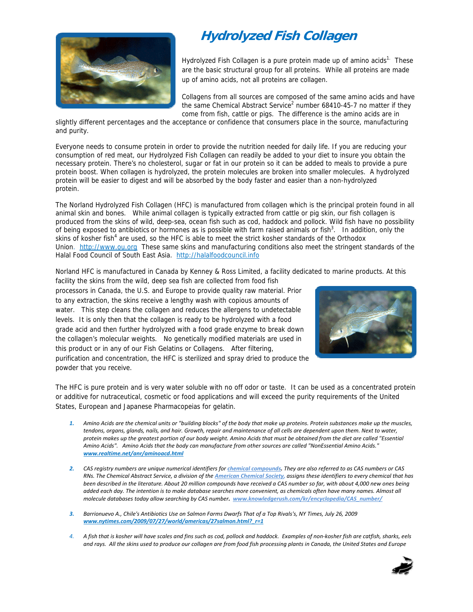## **Hydrolyzed Fish Collagen**



Hydrolyzed Fish Collagen is a pure protein made up of amino acids<sup>1.</sup> These are the basic structural group for all proteins. While all proteins are made up of amino acids, not all proteins are collagen.

Collagens from all sources are composed of the same amino acids and have the same Chemical Abstract Service<sup>2</sup> number 68410-45-7 no matter if they come from fish, cattle or pigs. The difference is the amino acids are in

slightly different percentages and the acceptance or confidence that consumers place in the source, manufacturing and purity.

Everyone needs to consume protein in order to provide the nutrition needed for daily life. If you are reducing your consumption of red meat, our Hydrolyzed Fish Collagen can readily be added to your diet to insure you obtain the necessary protein. There's no cholesterol, sugar or fat in our protein so it can be added to meals to provide a pure protein boost. When collagen is hydrolyzed, the protein molecules are broken into smaller molecules. A hydrolyzed protein will be easier to digest and will be absorbed by the body faster and easier than a non-hydrolyzed protein.

The Norland Hydrolyzed Fish Collagen (HFC) is manufactured from collagen which is the principal protein found in all animal skin and bones. While animal collagen is typically extracted from cattle or pig skin, our fish collagen is produced from the skins of wild, deep-sea, ocean fish such as cod, haddock and pollock. Wild fish have no possibility of being exposed to antibiotics or hormones as is possible with farm raised animals or fish $3$ . In addition, only the skins of kosher fish<sup>4</sup> are used, so the HFC is able to meet the strict kosher standards of the Orthodox Union. http://www.ou.org These same skins and manufacturing conditions also meet the stringent standards of the Halal Food Council of South East Asia. http://halalfoodcouncil.info

Norland HFC is manufactured in Canada by Kenney & Ross Limited, a facility dedicated to marine products. At this

facility the skins from the wild, deep sea fish are collected from food fish processors in Canada, the U.S. and Europe to provide quality raw material. Prior to any extraction, the skins receive a lengthy wash with copious amounts of water. This step cleans the collagen and reduces the allergens to undetectable levels. It is only then that the collagen is ready to be hydrolyzed with a food grade acid and then further hydrolyzed with a food grade enzyme to break down the collagen's molecular weights. No genetically modified materials are used in this product or in any of our Fish Gelatins or Collagens. After filtering, purification and concentration, the HFC is sterilized and spray dried to produce the powder that you receive.



The HFC is pure protein and is very water soluble with no off odor or taste. It can be used as a concentrated protein or additive for nutraceutical, cosmetic or food applications and will exceed the purity requirements of the United States, European and Japanese Pharmacopeias for gelatin.

- 1. Amino Acids are the chemical units or "building blocks" of the body that make up proteins. Protein substances make up the muscles, tendons, organs, glands, nails, and hair. Growth, repair and maintenance of all cells are dependent upon them. Next to water, protein makes up the greatest portion of our body weight. Amino Acids that must be obtained from the diet are called "Essential Amino Acids". Amino Acids that the body can manufacture from other sources are called "NonEssential Amino Acids." *www.realtime.net/anr/aminoacd.html*
- 2. CAS registry numbers are unique numerical identifiers for *chemical compounds*. They are also referred to as CAS numbers or CAS RNs. The Chemical Abstract Service, a division of the American Chemical Society, assigns these identifiers to every chemical that has been described in the literature. About 20 million compounds have received a CAS number so far, with about 4,000 new ones being added each day. The intention is to make database searches more convenient, as chemicals often have many names. Almost all *molecule databases today allow searching by CAS number. www.knowledgerush.com/kr/encyclopedia/CAS\_number/*
- 3. Barrionuevo A., Chile's Antibiotics Use on Salmon Farms Dwarfs That of a Top Rivals's, NY Times, July 26, 2009 *www.nytimes.com/2009/07/27/world/americas/27salmon.html?\_r=1*
- 4. A fish that is kosher will have scales and fins such as cod, pollock and haddock. Examples of non-kosher fish are catfish, sharks, eels and rays. All the skins used to produce our collagen are from food fish processing plants in Canada, the United States and Europe

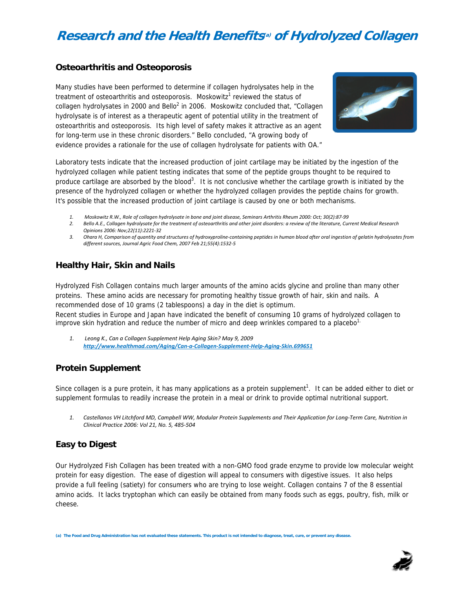## **Research and the Health Benefits(a) of Hydrolyzed Collagen**

#### **Osteoarthritis and Osteoporosis**

Many studies have been performed to determine if collagen hydrolysates help in the treatment of osteoarthritis and osteoporosis. Moskowitz<sup>1</sup> reviewed the status of collagen hydrolysates in 2000 and Bello<sup>2</sup> in 2006. Moskowitz concluded that, "Collagen hydrolysate is of interest as a therapeutic agent of potential utility in the treatment of osteoarthritis and osteoporosis. Its high level of safety makes it attractive as an agent for long-term use in these chronic disorders." Bello concluded, "A growing body of evidence provides a rationale for the use of collagen hydrolysate for patients with OA."



Laboratory tests indicate that the increased production of joint cartilage may be initiated by the ingestion of the hydrolyzed collagen while patient testing indicates that some of the peptide groups thought to be required to produce cartilage are absorbed by the blood<sup>3</sup>. It is not conclusive whether the cartilage growth is initiated by the presence of the hydrolyzed collagen or whether the hydrolyzed collagen provides the peptide chains for growth. It's possible that the increased production of joint cartilage is caused by one or both mechanisms.

- 1. Moskowitz R.W., Role of collagen hydrolysate in bone and joint disease, Seminars Arthritis Rheum 2000: Oct; 30(2):87-99
- 2. Bello A.E., Collagen hydrolysate for the treatment of osteoarthritis and other joint disorders: a review of the literature, Current Medical Research *Opinions 2006: Nov;22(11):2221‐32*
- 3. Ohara H, Comparison of quantity and structures of hydroxyproline-containing peptides in human blood after oral ingestion of gelatin hydrolysates from *different sources, Journal Agric Food Chem, 2007 Feb 21;55(4):1532‐5*

#### **Healthy Hair, Skin and Nails**

Hydrolyzed Fish Collagen contains much larger amounts of the amino acids glycine and proline than many other proteins. These amino acids are necessary for promoting healthy tissue growth of hair, skin and nails. A recommended dose of 10 grams (2 tablespoons) a day in the diet is optimum.

Recent studies in Europe and Japan have indicated the benefit of consuming 10 grams of hydrolyzed collagen to improve skin hydration and reduce the number of micro and deep wrinkles compared to a placebo $1$ .

*1. Leong K., Can a Collagen Supplement Help Aging Skin? May 9, 2009 http://www.healthmad.com/Aging/Can‐a‐Collagen‐Supplement‐Help‐Aging‐Skin.699651*

#### **Protein Supplement**

Since collagen is a pure protein, it has many applications as a protein supplement<sup>1</sup>. It can be added either to diet or supplement formulas to readily increase the protein in a meal or drink to provide optimal nutritional support.

1. Castellanos VH Litchford MD, Campbell WW, Modular Protein Supplements and Their Application for Long-Term Care, Nutrition in *Clinical Practice 2006: Vol 21, No. 5, 485‐504*

#### **Easy to Digest**

Our Hydrolyzed Fish Collagen has been treated with a non-GMO food grade enzyme to provide low molecular weight protein for easy digestion. The ease of digestion will appeal to consumers with digestive issues. It also helps provide a full feeling (satiety) for consumers who are trying to lose weight. Collagen contains 7 of the 8 essential amino acids. It lacks tryptophan which can easily be obtained from many foods such as eggs, poultry, fish, milk or cheese.

**(a) The Food and Drug Administration has not evaluated these statements. This product is not intended to diagnose, treat, cure, or prevent any disease.**